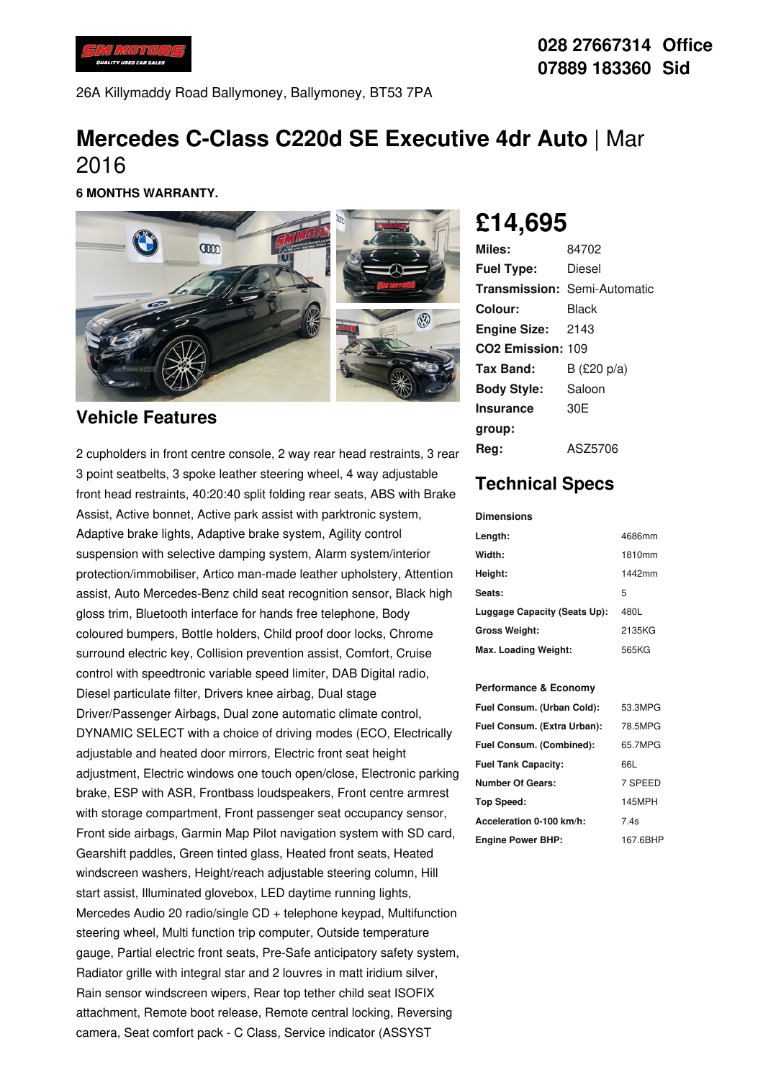

26A Killymaddy Road Ballymoney, Ballymoney, BT53 7PA

## **Mercedes C-Class C220d SE Executive 4dr Auto** | Mar 2016

**6 MONTHS WARRANTY.**



### **Vehicle Features**

2 cupholders in front centre console, 2 way rear head restraints, 3 rear 3 point seatbelts, 3 spoke leather steering wheel, 4 way adjustable front head restraints, 40:20:40 split folding rear seats, ABS with Brake Assist, Active bonnet, Active park assist with parktronic system, Adaptive brake lights, Adaptive brake system, Agility control suspension with selective damping system, Alarm system/interior protection/immobiliser, Artico man-made leather upholstery, Attention assist, Auto Mercedes-Benz child seat recognition sensor, Black high gloss trim, Bluetooth interface for hands free telephone, Body coloured bumpers, Bottle holders, Child proof door locks, Chrome surround electric key, Collision prevention assist, Comfort, Cruise control with speedtronic variable speed limiter, DAB Digital radio, Diesel particulate filter, Drivers knee airbag, Dual stage Driver/Passenger Airbags, Dual zone automatic climate control, DYNAMIC SELECT with a choice of driving modes (ECO, Electrically adjustable and heated door mirrors, Electric front seat height adjustment, Electric windows one touch open/close, Electronic parking brake, ESP with ASR, Frontbass loudspeakers, Front centre armrest with storage compartment, Front passenger seat occupancy sensor, Front side airbags, Garmin Map Pilot navigation system with SD card, Gearshift paddles, Green tinted glass, Heated front seats, Heated windscreen washers, Height/reach adjustable steering column, Hill start assist, Illuminated glovebox, LED daytime running lights, Mercedes Audio 20 radio/single CD + telephone keypad, Multifunction steering wheel, Multi function trip computer, Outside temperature gauge, Partial electric front seats, Pre-Safe anticipatory safety system, Radiator grille with integral star and 2 louvres in matt iridium silver, Rain sensor windscreen wipers, Rear top tether child seat ISOFIX attachment, Remote boot release, Remote central locking, Reversing camera, Seat comfort pack - C Class, Service indicator (ASSYST

# **£14,695**

| Miles:                        | 84702                               |
|-------------------------------|-------------------------------------|
| <b>Fuel Type:</b>             | Diesel                              |
|                               | <b>Transmission: Semi-Automatic</b> |
| Colour:                       | Black                               |
| <b>Engine Size: 2143</b>      |                                     |
| CO <sub>2</sub> Emission: 109 |                                     |
| Tax Band:                     | B (£20 p/a)                         |
| <b>Body Style:</b>            | Saloon                              |
| <b>Insurance</b>              | 30 <sub>F</sub>                     |
| group:                        |                                     |
| Reg:                          | ASZ5706                             |

## **Technical Specs**

#### **Dimensions**

| Length:                      | 4686mm |
|------------------------------|--------|
| Width:                       | 1810mm |
| Height:                      | 1442mm |
| Seats:                       | 5      |
| Luggage Capacity (Seats Up): | 480L   |
| <b>Gross Weight:</b>         | 2135KG |
| Max. Loading Weight:         | 565KG  |

#### **Performance & Economy**

| Fuel Consum. (Urban Cold):  | 53.3MPG  |
|-----------------------------|----------|
| Fuel Consum. (Extra Urban): | 78.5MPG  |
| Fuel Consum. (Combined):    | 65.7MPG  |
| <b>Fuel Tank Capacity:</b>  | 66L      |
| Number Of Gears:            | 7 SPEED  |
| <b>Top Speed:</b>           | 145MPH   |
| Acceleration 0-100 km/h:    | 7.4s     |
| <b>Engine Power BHP:</b>    | 167.6BHP |